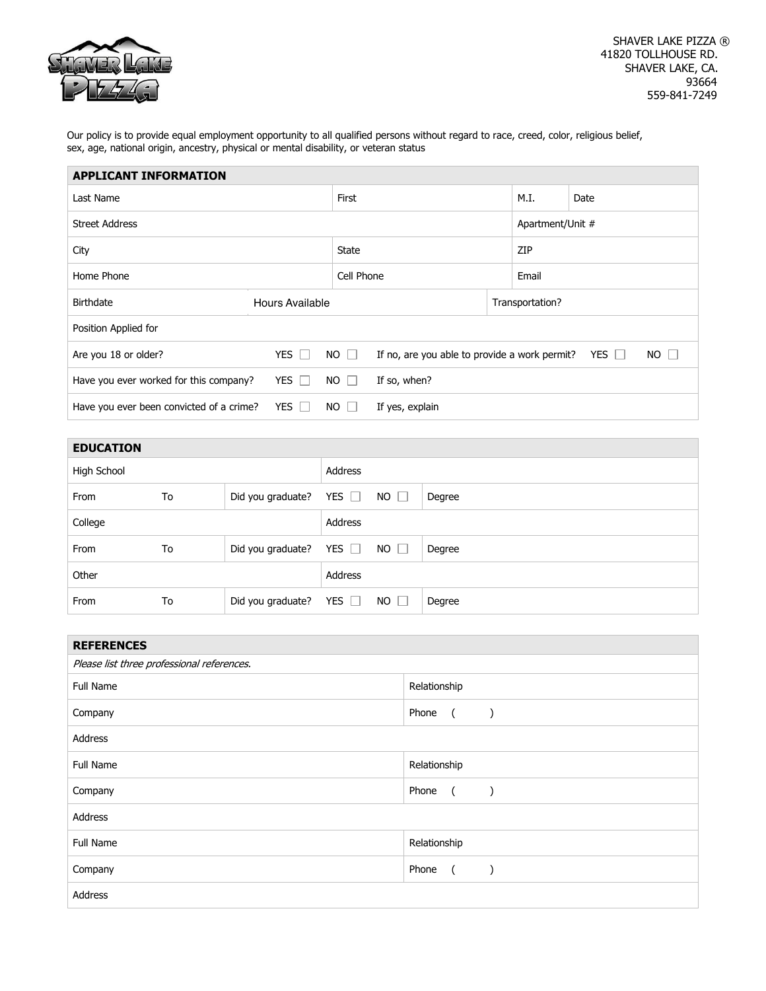| $\Box$<br>ш<br><b>All Color</b> |
|---------------------------------|
|                                 |
|                                 |

 Our policy is to provide equal employment opportunity to all qualified persons without regard to race, creed, color, religious belief, sex, age, national origin, ancestry, physical or mental disability, or veteran status

| <b>APPLICANT INFORMATION</b>                  |                 |           |                                               |                 |                  |              |           |  |
|-----------------------------------------------|-----------------|-----------|-----------------------------------------------|-----------------|------------------|--------------|-----------|--|
| Last Name                                     |                 |           | First                                         |                 |                  | M.I.<br>Date |           |  |
| <b>Street Address</b>                         |                 |           |                                               |                 | Apartment/Unit # |              |           |  |
| City                                          |                 |           | <b>State</b>                                  |                 |                  | ZIP          |           |  |
| Home Phone                                    |                 |           | Cell Phone                                    |                 | Email            |              |           |  |
| <b>Birthdate</b>                              | Hours Available |           |                                               | Transportation? |                  |              |           |  |
| Position Applied for                          |                 |           |                                               |                 |                  |              |           |  |
| Are you 18 or older?                          | YES $\Box$      | $NO \Box$ | If no, are you able to provide a work permit? |                 |                  | YES $\Box$   | $NO \Box$ |  |
| Have you ever worked for this company?<br>YES |                 | $NO \Box$ | If so, when?                                  |                 |                  |              |           |  |
| Have you ever been convicted of a crime?      | YES $\Box$      | NO.       | If yes, explain                               |                 |                  |              |           |  |

| <b>EDUCATION</b> |    |                   |            |             |        |
|------------------|----|-------------------|------------|-------------|--------|
| High School      |    |                   | Address    |             |        |
| From             | To | Did you graduate? | YES $\Box$ | $NO$ $\Box$ | Degree |
| College          |    |                   | Address    |             |        |
| From             | To | Did you graduate? | YES $\Box$ | $NO$ $\Box$ | Degree |
| Other            |    |                   | Address    |             |        |
| From             | To | Did you graduate? | YES $\Box$ | $NO$ $\Box$ | Degree |

| <b>REFERENCES</b>                          |                                                     |  |  |
|--------------------------------------------|-----------------------------------------------------|--|--|
| Please list three professional references. |                                                     |  |  |
| Full Name                                  | Relationship                                        |  |  |
| Company                                    | Phone<br>$\overline{a}$<br>$\mathcal{E}$            |  |  |
| Address                                    |                                                     |  |  |
| Full Name                                  | Relationship                                        |  |  |
| Company                                    | Phone<br>$\overline{a}$<br>$\overline{\phantom{a}}$ |  |  |
| Address                                    |                                                     |  |  |
| Full Name                                  | Relationship                                        |  |  |
| Company                                    | Phone<br>$\sqrt{2}$                                 |  |  |
| Address                                    |                                                     |  |  |